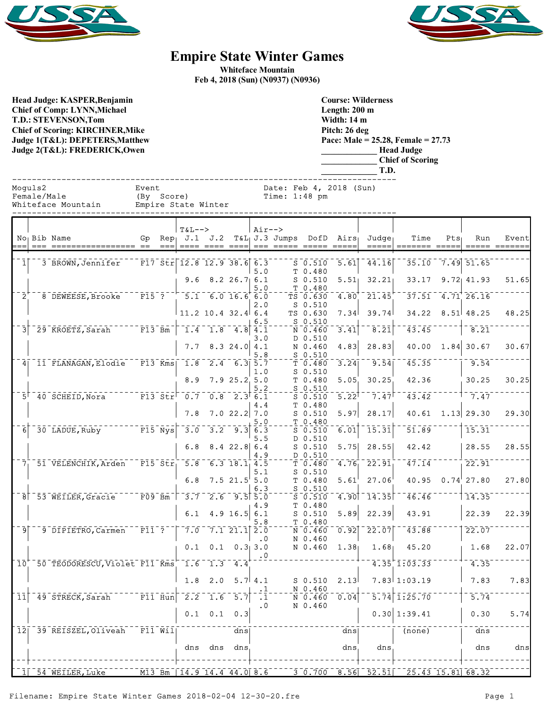



## **Empire State Winter Games**

**Whiteface Mountain Feb 4, 2018 (Sun) (N0937) (N0936)**

**Head Judge: KASPER,Benjamin Chief of Comp: LYNN,Michael T.D.: STEVENSON,Tom Chief of Scoring: KIRCHNER,Mike Judge 1(T&L): DEPETERS,Matthew Judge 2(T&L): FREDERICK,Owen** 

**Course: Wilderness Length: 200 m Width: 14 m Pitch: 26 deg Pace: Male = 25.28, Female = 27.73 \_\_\_\_\_\_\_\_\_\_\_\_\_ Head Judge \_\_\_\_\_\_\_\_\_\_\_\_\_ Chief of Scoring \_\_\_\_\_\_\_\_\_\_\_\_\_ T.D.**

------------------------------------------------------------------------------ Moguls2 Event Date: Feb 4, 2018 (Sun) Female/Male (By Score) Time: 1:48 pm

Whiteface Mountain Empire State Winter

|                                     |                                                                                           |                                      | $T&L-->$ |                           |                  | $Air--$   |                                                                       |                                                                                                               |                   |                                                         |                                                                                                                                                                                                                                                                                |                  |                                    |                        |
|-------------------------------------|-------------------------------------------------------------------------------------------|--------------------------------------|----------|---------------------------|------------------|-----------|-----------------------------------------------------------------------|---------------------------------------------------------------------------------------------------------------|-------------------|---------------------------------------------------------|--------------------------------------------------------------------------------------------------------------------------------------------------------------------------------------------------------------------------------------------------------------------------------|------------------|------------------------------------|------------------------|
|                                     | No Bib Name<br>--- ----------------- -- ---                                               |                                      |          | <u> ==== ==== ====</u>    |                  |           | Gp Rep J.1 J.2 T&L J.3 Jumps DofD Airs Judge<br>--- ----- ----- ----- |                                                                                                               |                   | $=$ $=$ $=$ $=$ $=$ $\vert$                             | Time<br>======= ====                                                                                                                                                                                                                                                           | Pts <sub>1</sub> | Run                                | Event<br>===== ======= |
|                                     |                                                                                           |                                      |          |                           |                  |           |                                                                       |                                                                                                               |                   |                                                         |                                                                                                                                                                                                                                                                                |                  |                                    |                        |
| 1                                   | 3 BROWN, Jennifer                                                                         | $F17 \text{ Str}$ 12.8 12.9 38.6 6.3 |          |                           |                  |           |                                                                       | $S$ 0.510                                                                                                     | 5.61              | 44.16                                                   |                                                                                                                                                                                                                                                                                |                  | 35.10 7.49 51.65                   |                        |
|                                     |                                                                                           |                                      |          |                           |                  | 5.0       |                                                                       | T 0.480                                                                                                       |                   |                                                         |                                                                                                                                                                                                                                                                                |                  |                                    |                        |
|                                     |                                                                                           |                                      |          | $9.6$ $8.2$ $26.7$ 6.1    |                  |           |                                                                       | $S$ 0.510                                                                                                     | 5.51              | 32.21                                                   |                                                                                                                                                                                                                                                                                |                  | $33.17$ $9.72$ $41.93$             | 51.65                  |
|                                     |                                                                                           |                                      |          |                           |                  | 5.0       |                                                                       | T 0.480                                                                                                       |                   |                                                         |                                                                                                                                                                                                                                                                                |                  |                                    |                        |
| $\bar{2}^{\scriptscriptstyle \top}$ | $-8$ DEWEESE, Brooke F15 ? $-5.1$ 6.0 16.6 6.0                                            |                                      |          |                           |                  |           |                                                                       | $\bar{T}S$ 0.630                                                                                              | 4.80              | 21.45                                                   |                                                                                                                                                                                                                                                                                |                  | $\sqrt{37.51}$ $\sqrt{4.71}$ 26.16 |                        |
|                                     |                                                                                           |                                      |          |                           |                  | 2.0       |                                                                       | $S$ 0.510                                                                                                     |                   |                                                         |                                                                                                                                                                                                                                                                                |                  |                                    |                        |
|                                     |                                                                                           |                                      |          | $11.2$ 10.4 32.4 6.4      |                  |           |                                                                       | TS 0.630                                                                                                      | 7.34              | 39.74                                                   | 34.22                                                                                                                                                                                                                                                                          |                  | $8.51 \, 48.25$                    | 48.25                  |
|                                     |                                                                                           |                                      |          |                           |                  | 6.5       |                                                                       | $S$ 0.510                                                                                                     |                   |                                                         |                                                                                                                                                                                                                                                                                |                  |                                    |                        |
| 3 <sup>1</sup>                      | <sup>-</sup> 29 KROETZ, Sarah F13 Bm                                                      |                                      |          | $-1.4 - 1.8 - 4.8$ 4.1    |                  |           |                                                                       | N 0.460                                                                                                       | 3.41              | $\overline{8.21}$                                       | 43.45                                                                                                                                                                                                                                                                          |                  | 8.21                               |                        |
|                                     |                                                                                           |                                      |          |                           |                  | 3.0       |                                                                       | D 0.510                                                                                                       |                   |                                                         |                                                                                                                                                                                                                                                                                |                  |                                    |                        |
|                                     |                                                                                           |                                      |          | $7.7$ 8.3 24.0 4.1        |                  |           |                                                                       | N 0.460                                                                                                       | 4.83              | 28.83                                                   |                                                                                                                                                                                                                                                                                |                  | $40.00 \quad 1.84$ 30.67           | 30.67                  |
|                                     |                                                                                           |                                      |          |                           |                  | 5.8       |                                                                       | $S_0.510$                                                                                                     |                   |                                                         |                                                                                                                                                                                                                                                                                |                  |                                    |                        |
|                                     | 4 11 FLANAGAN, Elodie                                                                     | $\text{F13 Kms}$ 1.8 2.4 6.3 5.7     |          |                           |                  |           |                                                                       | T 0.480                                                                                                       | 3.24              | 9.54                                                    | 45.35                                                                                                                                                                                                                                                                          |                  | $1 \quad 9.54$                     |                        |
|                                     |                                                                                           |                                      |          |                           |                  | 1.0       |                                                                       | $S_0.510$                                                                                                     |                   |                                                         |                                                                                                                                                                                                                                                                                |                  |                                    |                        |
|                                     |                                                                                           |                                      | 8.9      |                           | 7.925.25.0       |           |                                                                       | T 0.480                                                                                                       | 5.05              | 30.25                                                   | 42.36                                                                                                                                                                                                                                                                          |                  | 30.25                              | 30.25                  |
|                                     | $-5$ <sup>-</sup> 40 SCHEID, Nora F13 Str <sup>-</sup> 0.7 0.8 2.3 6.1                    |                                      |          |                           |                  | 5.2       |                                                                       | $S$ 0.510                                                                                                     | $5.22^{1}$        | $-7.47$                                                 | 43.42                                                                                                                                                                                                                                                                          |                  | $-7.47$                            |                        |
|                                     |                                                                                           |                                      |          |                           |                  |           |                                                                       | $S$ 0.510<br>T 0.480                                                                                          |                   |                                                         |                                                                                                                                                                                                                                                                                |                  |                                    |                        |
|                                     |                                                                                           |                                      | 7.8      |                           | $7.0$ 22.2 7.0   | 4.4       |                                                                       | $S$ 0.510                                                                                                     | 5.97              | 28.17                                                   | 40.61                                                                                                                                                                                                                                                                          |                  | $1.13$ 29.30                       | 29.30                  |
|                                     |                                                                                           |                                      |          |                           |                  | 5.0       |                                                                       | T 0.480                                                                                                       |                   |                                                         |                                                                                                                                                                                                                                                                                |                  |                                    |                        |
| $\overline{6}$                      | $-30$ LADUE, Ruby $-100$ F15 Nys <sup>-3.0</sup>                                          |                                      |          |                           | $3.2 - 9.3$ 6.3  |           |                                                                       | $\overline{\text{s}}$ $\overline{\text{0}}$ $\overline{\text{0}}$ $\overline{\text{0}}$ $\overline{\text{0}}$ | 6.01              | 15.31                                                   | 51.89                                                                                                                                                                                                                                                                          |                  | 15.31                              |                        |
|                                     |                                                                                           |                                      |          |                           |                  | 5.5       |                                                                       | D 0.510                                                                                                       |                   |                                                         |                                                                                                                                                                                                                                                                                |                  |                                    |                        |
|                                     |                                                                                           |                                      | 6.8      |                           | $8.4$ 22.8 6.4   |           |                                                                       | $S$ 0.510                                                                                                     | 5.75              | 28.55                                                   | 42.42                                                                                                                                                                                                                                                                          |                  | 28.55                              | 28.55                  |
|                                     |                                                                                           |                                      |          |                           |                  | 4.9       |                                                                       | D 0.510                                                                                                       |                   |                                                         |                                                                                                                                                                                                                                                                                |                  |                                    |                        |
| 7 <sub>1</sub>                      | $-51$ VELENCHIK, Arden $-$ F15 Str, 5.8 6.3 18.1 4.5                                      |                                      |          |                           |                  |           |                                                                       | T 0.480                                                                                                       | 4.76 <sub>1</sub> | $\overline{22.91}$                                      | $\overline{47.14}$                                                                                                                                                                                                                                                             |                  | 22.91                              |                        |
|                                     |                                                                                           |                                      |          |                           |                  | 5.1       |                                                                       | $S_0.510$                                                                                                     |                   |                                                         |                                                                                                                                                                                                                                                                                |                  |                                    |                        |
|                                     |                                                                                           |                                      | 6.8      |                           | $7.5$ 21.5 $5.0$ |           |                                                                       | T 0.480                                                                                                       | 5.61              | 27.06                                                   |                                                                                                                                                                                                                                                                                |                  | 40.95 $0.74^{1}$ 27.80             | 27.80                  |
|                                     |                                                                                           |                                      |          |                           |                  | 6.3       |                                                                       | $S$ 0.510                                                                                                     |                   |                                                         |                                                                                                                                                                                                                                                                                |                  |                                    |                        |
|                                     | $\sqrt{8}$ 53 WEILER, Gracie $\sqrt{509}$ Bm $\sqrt{3.7}$ 2.6 9.5 5.0                     |                                      |          |                           |                  |           |                                                                       | $S$ 0.510                                                                                                     | 4.90              | $-14.35$                                                | 46.46                                                                                                                                                                                                                                                                          |                  | 114.35                             |                        |
|                                     |                                                                                           |                                      |          |                           |                  | 4.9       |                                                                       | T 0.480                                                                                                       |                   |                                                         |                                                                                                                                                                                                                                                                                |                  |                                    |                        |
|                                     |                                                                                           |                                      |          | 6.1 $4.9 16.5 6.1$        |                  |           |                                                                       | $S$ 0.510                                                                                                     | 5.89              | 22.39                                                   | 43.91                                                                                                                                                                                                                                                                          |                  | 22.39                              | 22.39                  |
|                                     |                                                                                           |                                      |          |                           |                  | 5.8       |                                                                       | T 0.480                                                                                                       |                   |                                                         |                                                                                                                                                                                                                                                                                |                  |                                    |                        |
| ি⊺                                  | <sup>-</sup> <sup>9</sup> DIPIETRO, Carmen <sup>-</sup> F11 <sup>-</sup> ? <sup>--</sup>  |                                      |          | $-7.0 - 7.1 - 21.1$ 2.0   |                  |           |                                                                       | $\bar{N}$ $\bar{0}$ $\bar{4}$ $\bar{6}$ $\bar{0}$                                                             | 0.92              | $\overline{2}\overline{2}\cdot\overline{0}\overline{7}$ | 43.88                                                                                                                                                                                                                                                                          |                  | 22.07                              |                        |
|                                     |                                                                                           |                                      |          |                           |                  | $\cdot$ 0 |                                                                       | N 0.460                                                                                                       |                   |                                                         |                                                                                                                                                                                                                                                                                |                  |                                    |                        |
|                                     |                                                                                           |                                      |          | $0.1$ $0.1$ $0.3$ 3.0     |                  |           |                                                                       | N 0.460                                                                                                       | 1.38              | 1.68                                                    | 45.20                                                                                                                                                                                                                                                                          |                  | 1.68                               | 22.07                  |
|                                     | $\lceil$ 10 $\lceil$ 50 TEODORESCU, Violet F11 Kms $\lceil$ 1.6 $\lceil$ 1.3 $\lceil$ 4.4 |                                      |          |                           |                  | $\cdot$ 0 |                                                                       |                                                                                                               |                   |                                                         | $4.35$ <sup>+</sup> 1:03.33 <sup>-</sup>                                                                                                                                                                                                                                       |                  | 4.35                               |                        |
|                                     |                                                                                           |                                      |          |                           |                  |           |                                                                       |                                                                                                               |                   |                                                         |                                                                                                                                                                                                                                                                                |                  |                                    |                        |
|                                     |                                                                                           |                                      |          | $1.8$ 2.0 5.7 4.1         |                  |           |                                                                       | $S_0.510$                                                                                                     | 2.13              |                                                         | $7.83 \mid 1:03.19$                                                                                                                                                                                                                                                            |                  | 7.83                               | 7.83                   |
|                                     |                                                                                           |                                      |          |                           |                  |           |                                                                       | N 0.460                                                                                                       |                   |                                                         |                                                                                                                                                                                                                                                                                |                  |                                    |                        |
| $\lceil$ 11 $\rceil$                | $-49$ STRECK, Sarah $   F11$ $\text{H}$ un $-2.2$ $-1.6$ $-5.7$                           |                                      |          |                           |                  | $\cdot$ 1 |                                                                       | N 0.460                                                                                                       | [0.04]            |                                                         | $5.74$ 1:25.70                                                                                                                                                                                                                                                                 |                  | 5.74                               |                        |
|                                     |                                                                                           |                                      |          |                           |                  | $\cdot$ 0 |                                                                       | N 0.460                                                                                                       |                   |                                                         |                                                                                                                                                                                                                                                                                |                  |                                    |                        |
|                                     |                                                                                           |                                      |          | $0.1 \quad 0.1 \quad 0.3$ |                  |           |                                                                       |                                                                                                               |                   |                                                         | 0.30   1:39.41                                                                                                                                                                                                                                                                 |                  | 0.30                               | 5.74                   |
|                                     |                                                                                           |                                      |          |                           |                  |           |                                                                       |                                                                                                               |                   |                                                         |                                                                                                                                                                                                                                                                                |                  |                                    |                        |
|                                     | $\lceil$ 12 $\rceil$ 39 REISZEL, Oliveah $\lceil$ F11 Wil $\rceil$                        |                                      |          |                           | dns              |           |                                                                       |                                                                                                               | dns               |                                                         | $\overline{(\text{none})}$                                                                                                                                                                                                                                                     |                  | $\bar{d}$ ns                       |                        |
|                                     |                                                                                           |                                      |          |                           |                  |           |                                                                       |                                                                                                               |                   |                                                         |                                                                                                                                                                                                                                                                                |                  |                                    |                        |
|                                     |                                                                                           |                                      | dns      |                           | dns dns          |           |                                                                       |                                                                                                               | dns               | dns.                                                    |                                                                                                                                                                                                                                                                                |                  | dns                                | dns                    |
|                                     |                                                                                           |                                      |          |                           |                  |           |                                                                       |                                                                                                               |                   |                                                         |                                                                                                                                                                                                                                                                                |                  |                                    |                        |
|                                     |                                                                                           |                                      |          |                           |                  |           |                                                                       |                                                                                                               |                   |                                                         |                                                                                                                                                                                                                                                                                |                  |                                    |                        |
|                                     | 1 54 WEILER, Luke                                                                         |                                      |          |                           |                  |           |                                                                       |                                                                                                               |                   |                                                         | $\overline{100}$ $\overline{113}$ $\overline{Bm}$ $\overline{14.9}$ $\overline{14.4}$ $\overline{44.0}$ $\overline{8.6}$ $\overline{100}$ $\overline{30.700}$ $\overline{8.56}$ $\overline{52.51}$ $\overline{52.51}$ $\overline{25.43}$ $\overline{15.81}$ $\overline{68.32}$ |                  |                                    |                        |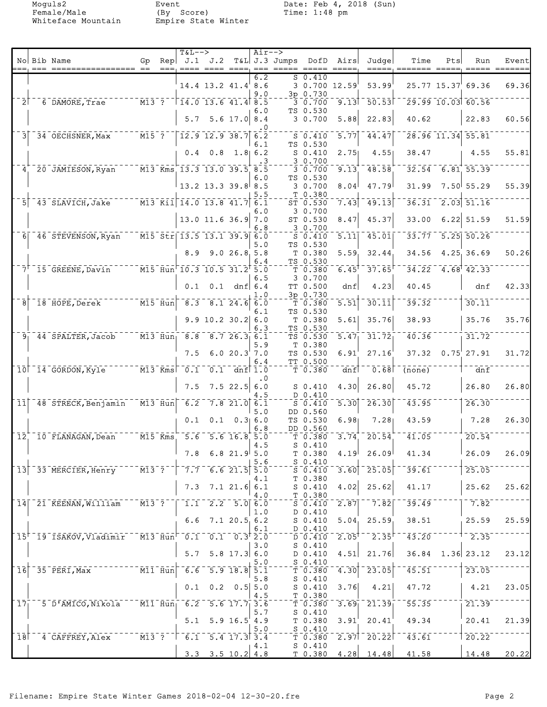Female/Male (By Score) Time: 1:48 pm Whiteface Mountain Empire State Winter

Moguls2 Event Date: Feb 4, 2018 (Sun)<br>
Female/Male (By Score) Time: 1:48 pm

|                    |                |                                                                                                                                   |                                                                                                                     |     | <b>T&amp;L--&gt;</b>                                                                                                                  |                          |                                        | $Air--$          |                 |                                                                                                |                                  |                                                          |                            |     |                                              |               |
|--------------------|----------------|-----------------------------------------------------------------------------------------------------------------------------------|---------------------------------------------------------------------------------------------------------------------|-----|---------------------------------------------------------------------------------------------------------------------------------------|--------------------------|----------------------------------------|------------------|-----------------|------------------------------------------------------------------------------------------------|----------------------------------|----------------------------------------------------------|----------------------------|-----|----------------------------------------------|---------------|
|                    |                | No Bib Name                                                                                                                       | Gp                                                                                                                  | Rep |                                                                                                                                       | J.1 J.2                  |                                        |                  | $T&L$ J.3 Jumps | DofD                                                                                           | Airs                             | Judge                                                    | Time                       | Pts | Run                                          | Event         |
|                    |                |                                                                                                                                   |                                                                                                                     |     |                                                                                                                                       |                          |                                        | $6.\overline{2}$ |                 | 50.410                                                                                         |                                  |                                                          | =====, ======= =====       |     |                                              | ===== ======= |
|                    |                |                                                                                                                                   |                                                                                                                     |     |                                                                                                                                       | 14.4 13.2 41.4 8.6       |                                        |                  |                 |                                                                                                | 3 0.700 12.59                    | 53.99                                                    |                            |     | 25.77 15.37 69.36                            | 69.36         |
|                    |                |                                                                                                                                   |                                                                                                                     |     |                                                                                                                                       |                          |                                        | 9.0              |                 | 3p 0.730                                                                                       |                                  |                                                          |                            |     |                                              |               |
|                    | 2 <sup>1</sup> | 6 DAMORE, Trae                                                                                                                    | $^{\mathrm{- -}}$ M13 $^{\mathrm{-}}$ ? $^{\mathrm{-}}$                                                             |     | $T14.0$ 13.6 41.4 8.5                                                                                                                 |                          |                                        |                  |                 | $-3 - 0.700$                                                                                   | 9.13                             | $-50.53$                                                 |                            |     | $29.99$ 10.03 60.56                          |               |
|                    |                |                                                                                                                                   |                                                                                                                     |     |                                                                                                                                       |                          |                                        | 6.0              |                 | TS 0.530                                                                                       |                                  |                                                          |                            |     |                                              |               |
|                    |                |                                                                                                                                   |                                                                                                                     |     | 5.7                                                                                                                                   |                          | $5.6$ 17.0 8.4                         | . 0              |                 | 30.700                                                                                         | 5.88                             | 22.83                                                    | 40.62                      |     | 22.83                                        | 60.56         |
| 3 <sup>1</sup>     |                | 34 OECHSNER, Max                                                                                                                  | $\bar{M15}$ $\bar{?}$                                                                                               |     |                                                                                                                                       | $12.9$ 12.9 38.7 6.2     |                                        |                  |                 | $S = 0.410$                                                                                    | 5.77                             | 44.47                                                    |                            |     | 28.96 11.34 55.81                            |               |
|                    |                |                                                                                                                                   |                                                                                                                     |     |                                                                                                                                       |                          |                                        | 6.1              |                 | TS 0.530                                                                                       |                                  |                                                          |                            |     |                                              |               |
|                    |                |                                                                                                                                   |                                                                                                                     |     |                                                                                                                                       | $0.4$ $0.8$ $1.8$ 6.2    |                                        |                  |                 | $S_0.410$                                                                                      | 2.75                             | 4.55                                                     | 38.47                      |     | 4.55                                         | 55.81         |
|                    |                |                                                                                                                                   |                                                                                                                     |     | $\overline{M13}$ Kms 13.3 13.0 39.5 8.5                                                                                               |                          |                                        |                  |                 | 30.700                                                                                         |                                  |                                                          |                            |     |                                              |               |
| 4 <sup>1</sup>     |                | 20 JAMIESON, Ryan                                                                                                                 |                                                                                                                     |     |                                                                                                                                       |                          |                                        | 6.0              |                 | $\overline{3}\ \overline{0}\ \overline{0}\ \overline{7}\ \overline{0}\overline{0}$<br>TS 0.530 | 9.13                             | 48.58                                                    |                            |     | $32.54 - 6.81$ 55.39                         |               |
|                    |                |                                                                                                                                   |                                                                                                                     |     |                                                                                                                                       | $13.2$ 13.3 39.8 8.5     |                                        |                  |                 | 30.700                                                                                         | 8.04                             | 47.79                                                    | 31.99                      |     | $7.50$ 55.29                                 | 55.39         |
|                    |                |                                                                                                                                   |                                                                                                                     |     |                                                                                                                                       |                          |                                        | 5.5              |                 | T 0.380                                                                                        |                                  |                                                          |                            |     |                                              |               |
| 51                 |                | 43 SLAVICH, Jake M13 Kil 14.0 13.8 41.7 6.1                                                                                       |                                                                                                                     |     |                                                                                                                                       |                          |                                        |                  |                 | ST 0.530                                                                                       | 7.43                             | 49.13                                                    | 36.31                      |     | $\begin{bmatrix} 2.03 & 51.16 \end{bmatrix}$ |               |
|                    |                |                                                                                                                                   |                                                                                                                     |     |                                                                                                                                       |                          |                                        | 6.0              |                 | 3 0.700                                                                                        |                                  |                                                          |                            |     |                                              |               |
|                    |                |                                                                                                                                   |                                                                                                                     |     |                                                                                                                                       | $13.0$ 11.6 36.9 7.0     |                                        | 6.8              |                 | ST 0.530<br>3 0.700                                                                            | 8.47                             | 45.37                                                    | 33.00                      |     | $6.22$ 51.59                                 | 51.59         |
| 6 <sup>1</sup>     |                | $-46$ STEVENSON, Ryan                                                                                                             |                                                                                                                     |     | $\sqrt{15}$ $\sqrt{5}$ $\sqrt{13.5}$ $\sqrt{13.1}$ $\sqrt{39.9}$ $\sqrt{6.0}$                                                         |                          |                                        |                  |                 | $S_0.410$                                                                                      | $\overline{5.11}$                | 45.01                                                    | 33.77                      |     | $\overline{5.25}$ $\overline{50.26}$         |               |
|                    |                |                                                                                                                                   |                                                                                                                     |     |                                                                                                                                       |                          |                                        | 5.0              |                 | TS 0.530                                                                                       |                                  |                                                          |                            |     |                                              |               |
|                    |                |                                                                                                                                   |                                                                                                                     |     | 8.9                                                                                                                                   |                          | 9.026.85.8                             |                  |                 | T 0.380                                                                                        | 5.59                             | 32.44                                                    | 34.56                      |     | 4.25 36.69                                   | 50.26         |
|                    |                |                                                                                                                                   |                                                                                                                     |     |                                                                                                                                       |                          |                                        | 6.4              |                 | TS 0.530                                                                                       |                                  |                                                          |                            |     |                                              |               |
|                    |                | $71$ 15 GREENE, Davin                                                                                                             |                                                                                                                     |     | $\overline{10.5}$ $\overline{115}$ $\overline{H}$ un $\overline{10.3}$ $\overline{10.5}$ $\overline{31.2}^{\dagger}$ $\overline{5.0}$ |                          |                                        |                  |                 | $T$ 0.380<br>3 0.700                                                                           | 6.45                             | 37.65                                                    |                            |     | $34.22 - 4.68$ $42.33$                       |               |
|                    |                |                                                                                                                                   |                                                                                                                     |     | 0.1                                                                                                                                   |                          | $0.1$ dnf $6.4$                        | 6.5              |                 | TT 0.500                                                                                       | dnf                              | 4.23                                                     | 40.45                      |     | dnf                                          | 42.33         |
|                    |                |                                                                                                                                   |                                                                                                                     |     |                                                                                                                                       |                          |                                        | 1.0              |                 | 3p 0.730                                                                                       |                                  |                                                          |                            |     |                                              |               |
| 8                  |                | 18 HOPE, Derek                                                                                                                    | $^{-}$ $\bar{\texttt{M}}\bar{\texttt{1}}\bar{\texttt{5}}$ $^{-}$ $\bar{\texttt{H}}\bar{\texttt{u}}\bar{\texttt{n}}$ |     | $\overline{8.3}$                                                                                                                      |                          | $8.1$ 24.6 6.0                         |                  |                 | T 0.380                                                                                        | $\overline{5.51}$                | 30.11                                                    | 39.32                      |     | 30.11                                        |               |
|                    |                |                                                                                                                                   |                                                                                                                     |     |                                                                                                                                       |                          |                                        | 6.1              |                 | TS 0.530                                                                                       |                                  |                                                          |                            |     |                                              |               |
|                    |                |                                                                                                                                   |                                                                                                                     |     |                                                                                                                                       | $9.9$ 10.2 30.2 6.0      |                                        |                  |                 | $T$ 0.380                                                                                      | 5.61                             | 35.76                                                    | 38.93                      |     | 35.76                                        | 35.76         |
|                    |                | $91$ 44 SPALTER, Jacob                                                                                                            |                                                                                                                     |     | $-M13$ Hun <sub>1</sub> 8.8                                                                                                           |                          | 8.726.36.1                             | 6.3              |                 | TS 0.530<br>TS 0.530                                                                           | 5.47                             | 31.72                                                    | 40.36                      |     | 31.72                                        |               |
|                    |                |                                                                                                                                   |                                                                                                                     |     |                                                                                                                                       |                          |                                        | 5.9              |                 | T 0.380                                                                                        |                                  |                                                          |                            |     |                                              |               |
|                    |                |                                                                                                                                   |                                                                                                                     |     | 7.5                                                                                                                                   |                          | 6.020.37.0                             |                  |                 | TS 0.530                                                                                       | 6.91                             | 27.16                                                    |                            |     | $37.32$ 0.75 27.91                           | 31.72         |
|                    |                |                                                                                                                                   |                                                                                                                     |     |                                                                                                                                       |                          |                                        | 6.4              |                 | TT 0.500                                                                                       |                                  |                                                          |                            |     |                                              |               |
|                    |                | 10 14 GORDON, Kyle                                                                                                                | $-M13$ Kms                                                                                                          |     | $\overline{0.1}$                                                                                                                      |                          | $0.1$ dnf $1.0$                        |                  |                 | T 0.380                                                                                        | dnf                              | 0.68                                                     | $\overline{(\text{none})}$ |     | dnf                                          |               |
|                    |                |                                                                                                                                   |                                                                                                                     |     | 7.5                                                                                                                                   |                          | $7.5$ 22.5                             | . 0<br>6.0       |                 | $S_0.410$                                                                                      | 4.30                             | 26.80                                                    | 45.72                      |     | 26.80                                        | 26.80         |
|                    |                |                                                                                                                                   |                                                                                                                     |     |                                                                                                                                       |                          |                                        | 4.5              |                 | D 0.410                                                                                        |                                  |                                                          |                            |     |                                              |               |
| $\overline{11}$    |                | $-48$ STRECK, Benjamin                                                                                                            | $\overline{M13}$ Hun                                                                                                |     | $\overline{6.2}$                                                                                                                      |                          | $7.8$ 21.0 6.1                         |                  |                 | $S = 0.410$                                                                                    | $\overline{5.30}$                | 26.30                                                    | 43.95                      |     | 26.30                                        |               |
|                    |                |                                                                                                                                   |                                                                                                                     |     |                                                                                                                                       |                          |                                        | 5.0              |                 | DD 0.560                                                                                       |                                  |                                                          |                            |     |                                              |               |
|                    |                |                                                                                                                                   |                                                                                                                     |     | 0.1                                                                                                                                   |                          | $0.1 \quad 0.316.0$                    | 6.8              |                 | TS 0.530<br>DD 0.560                                                                           | 6.98                             | 7.28                                                     | 43.59                      |     | 7.28                                         | 26.30         |
| $\bar{1}\bar{2}$   |                | 10 FLANAGAN, Dean                                                                                                                 |                                                                                                                     |     | $ \overline{M15}$ $\overline{Kms}$ $\overline{5.6}$                                                                                   |                          | $-5.6$ 16.8 5.0                        |                  |                 | $T$ 0.380                                                                                      | 3.74                             | 20.54                                                    | 41.05                      |     | 20.54                                        |               |
|                    |                |                                                                                                                                   |                                                                                                                     |     |                                                                                                                                       |                          |                                        | 4.5              |                 | $S$ 0.410                                                                                      |                                  |                                                          |                            |     |                                              |               |
|                    |                |                                                                                                                                   |                                                                                                                     |     |                                                                                                                                       | $7.8$ 6.8 21.9 5.0       |                                        |                  |                 | $T$ 0.380                                                                                      |                                  | $4.19$ 26.09                                             | 41.34                      |     | 26.09                                        | 26.09         |
|                    |                |                                                                                                                                   |                                                                                                                     |     |                                                                                                                                       |                          |                                        | 5.6              |                 | $S_0.410$                                                                                      |                                  |                                                          |                            |     |                                              |               |
|                    |                | $13$ <sup>-</sup> 33 MERCIER, Henry $13$ <sup>-</sup> $7$ <sup>-</sup> $7.7$ <sup>-</sup> 6.6 21.5 5.0                            |                                                                                                                     |     |                                                                                                                                       |                          |                                        | 4.1              |                 | $5 - 0.410$<br>T 0.380                                                                         |                                  | $\overline{3.60}$ $\overline{25.05}$                     | $\overline{39.61}$         |     | 25.05                                        |               |
|                    |                |                                                                                                                                   |                                                                                                                     |     | 7.3                                                                                                                                   |                          | $7.1$ 21.6 6.1                         |                  |                 | $S$ 0.410                                                                                      | 4.02                             | 25.62                                                    | 41.17                      |     | 25.62                                        | 25.62         |
|                    |                |                                                                                                                                   |                                                                                                                     |     |                                                                                                                                       |                          |                                        | 4.0              |                 | $T$ 0.380                                                                                      |                                  |                                                          |                            |     |                                              |               |
|                    |                | 14 21 KEENAN, William M13 ?                                                                                                       |                                                                                                                     |     |                                                                                                                                       | $-1.1 - 2.2 - 5.0$ 6.0   |                                        |                  |                 | 50.410                                                                                         | $\overline{2.87}$                | $-7.82$                                                  | 39.49                      |     | 7.82                                         |               |
|                    |                |                                                                                                                                   |                                                                                                                     |     |                                                                                                                                       |                          |                                        | 1.0              |                 | D 0.410                                                                                        |                                  |                                                          |                            |     |                                              |               |
|                    |                |                                                                                                                                   |                                                                                                                     |     | 6.6                                                                                                                                   |                          | 7.120.56.2                             | 6.1              |                 | $S_0.410$<br>D 0.410                                                                           |                                  | $5.04$ 25.59                                             | 38.51                      |     | 25.59                                        | 25.59         |
|                    |                | $15$ <sup>+-</sup> 19 <sup>-</sup> ISAKOV, Vladimir M13-Hun <sup>--</sup> 0.1 <sup>--</sup> 0.1 <sup>--0.3</sup> <sup>+</sup> 2.0 |                                                                                                                     |     |                                                                                                                                       |                          |                                        |                  |                 | $D$ 0.410                                                                                      | $\overline{2.05}$ <sup>1</sup>   | $^{-1}$ 2.35 $^{\dagger}$                                | $\overline{43.20}$         |     | $-2.35$                                      |               |
|                    |                |                                                                                                                                   |                                                                                                                     |     |                                                                                                                                       |                          |                                        | 3.0              |                 | $S_0.410$                                                                                      |                                  |                                                          |                            |     |                                              |               |
|                    |                |                                                                                                                                   |                                                                                                                     |     | 5.7                                                                                                                                   |                          | $5.8$ 17.3 6.0                         |                  |                 | D 0.410                                                                                        | 4.51                             | 21.76                                                    |                            |     | $36.84$ 1.36 23.12                           | 23.12         |
|                    |                | $16$ <sup>-35-PERI, Max<sup>-1</sup></sup>                                                                                        |                                                                                                                     |     | $^{-}$ M11 $^{-}$ Hun $^{-}$ 6.6                                                                                                      |                          | $\overline{5.9}$ 18.8 $\overline{5.1}$ | 5.0              |                 | $S_0.410$                                                                                      | $\overline{4.30}$ $\overline{1}$ | 23.05                                                    | 45.51                      |     | 23.05                                        |               |
|                    |                |                                                                                                                                   |                                                                                                                     |     |                                                                                                                                       |                          |                                        | 5.8              |                 | $\bar{\mathbb{T}}$ $\bar{0}$ .380 $^{-1}$<br>$S_0.410$                                         |                                  |                                                          |                            |     |                                              |               |
|                    |                |                                                                                                                                   |                                                                                                                     |     | 0.1                                                                                                                                   |                          | $0.2 \quad 0.5 \mid 5.0$               |                  |                 | $S_0.410$                                                                                      | 3.76                             | 4.21                                                     | 47.72                      |     | 4.21                                         | 23.05         |
|                    |                |                                                                                                                                   |                                                                                                                     |     |                                                                                                                                       |                          |                                        | 4.5              |                 | $T_{-}$ $T_{-}$ 0.380                                                                          |                                  |                                                          |                            |     |                                              |               |
| $\bar{1}\bar{7}^-$ |                | $-5$ D'AMICO, Nikola $-7$ M11 Hun <sub>1</sub> 6.2 5.6 17.7 <sub>1</sub> 3.6                                                      |                                                                                                                     |     |                                                                                                                                       |                          |                                        |                  |                 |                                                                                                |                                  | $\bar{\rm T}$ 0.380 $\bar{\rm 3.69}$ 21.39 $\bar{\rm 0}$ | $55.35$ $^{-1}$            |     | 21.39                                        |               |
|                    |                |                                                                                                                                   |                                                                                                                     |     |                                                                                                                                       |                          |                                        | 5.7              |                 | $S_0.410$                                                                                      |                                  |                                                          |                            |     |                                              |               |
|                    |                |                                                                                                                                   |                                                                                                                     |     | 5.1                                                                                                                                   |                          | 5.9 16.5 4.9                           | 5.0              |                 | T <sub>0.380</sub><br>$S_0.410$                                                                | 3.91                             | 20.41                                                    | 49.34                      |     | 20.41                                        | 21.39         |
| $\bar{1}\bar{8}$   |                | $74$ CAFFREY, Alex $17.3$ $77$ $- 6.1$ $5.4$ $17.3$ $3.4$                                                                         |                                                                                                                     |     |                                                                                                                                       |                          |                                        |                  |                 |                                                                                                |                                  | $\bar{\tau}$ 0.380 $\bar{\tau}$ 2.97 $\bar{\tau}$ 20.22  | $\overline{43.61}$         |     | 120.22                                       |               |
|                    |                |                                                                                                                                   |                                                                                                                     |     |                                                                                                                                       |                          |                                        | 4.1              |                 | $S_0.410$                                                                                      |                                  |                                                          |                            |     |                                              |               |
|                    |                |                                                                                                                                   |                                                                                                                     |     |                                                                                                                                       | $3.3$ $3.5$ $10.2$ $4.8$ |                                        |                  |                 |                                                                                                |                                  | $T$ 0.380 4.28 14.48                                     | 41.58                      |     | 14.48                                        | 20.22         |